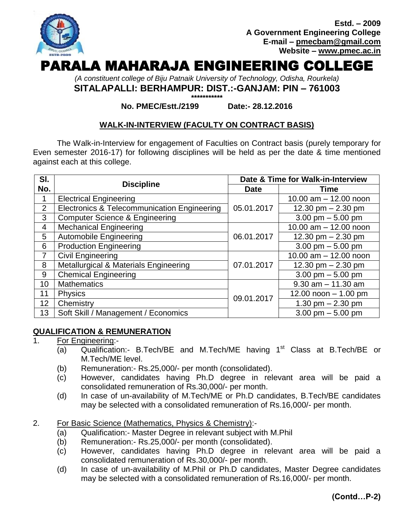

# PARALA MAHARAJA ENGINEERING COLLEGE

*(A constituent college of Biju Patnaik University of Technology, Odisha, Rourkela)* **SITALAPALLI: BERHAMPUR: DIST.:-GANJAM: PIN – 761003**

**\*\*\*\*\*\*\*\*\*\*\***

#### **No. PMEC/Estt./2199 Date:- 28.12.2016**

## **WALK-IN-INTERVIEW (FACULTY ON CONTRACT BASIS)**

The Walk-in-Interview for engagement of Faculties on Contract basis (purely temporary for Even semester 2016-17) for following disciplines will be held as per the date & time mentioned against each at this college.

| SI.            | <b>Discipline</b>                                      | Date & Time for Walk-in-Interview |                                     |  |
|----------------|--------------------------------------------------------|-----------------------------------|-------------------------------------|--|
| No.            |                                                        | <b>Date</b>                       | Time                                |  |
|                | <b>Electrical Engineering</b>                          |                                   | 10.00 $am - 12.00$ noon             |  |
| $\overline{2}$ | <b>Electronics &amp; Telecommunication Engineering</b> | 05.01.2017                        | 12.30 pm $- 2.30$ pm                |  |
| 3              | <b>Computer Science &amp; Engineering</b>              |                                   | $3.00 \text{ pm} - 5.00 \text{ pm}$ |  |
| $\overline{4}$ | <b>Mechanical Engineering</b>                          |                                   | 10.00 $am - 12.00$ noon             |  |
| 5              | Automobile Engineering                                 | 06.01.2017                        | 12.30 pm $- 2.30$ pm                |  |
| 6              | <b>Production Engineering</b>                          |                                   | 3.00 pm $-$ 5.00 pm                 |  |
| 7              | <b>Civil Engineering</b>                               |                                   | 10.00 $am - 12.00$ noon             |  |
| 8              | Metallurgical & Materials Engineering                  | 07.01.2017                        | 12.30 pm $- 2.30$ pm                |  |
| 9              | <b>Chemical Engineering</b>                            |                                   | 3.00 pm $-5.00$ pm                  |  |
| 10             | <b>Mathematics</b>                                     |                                   | $9.30$ am $-11.30$ am               |  |
| 11             | <b>Physics</b>                                         | 09.01.2017                        | 12.00 noon $- 1.00$ pm              |  |
| 12             | Chemistry                                              |                                   | 1.30 pm $- 2.30$ pm                 |  |
| 13             | Soft Skill / Management / Economics                    |                                   | 3.00 pm $-$ 5.00 pm                 |  |

### **QUALIFICATION & REMUNERATION**

1. For Engineering:-

- $\overline{(a)}$  Qualification:- B.Tech/BE and M.Tech/ME having 1<sup>st</sup> Class at B.Tech/BE or M.Tech/ME level.
- (b) Remuneration:- Rs.25,000/- per month (consolidated).
- (c) However, candidates having Ph.D degree in relevant area will be paid a consolidated remuneration of Rs.30,000/- per month.
- (d) In case of un-availability of M.Tech/ME or Ph.D candidates, B.Tech/BE candidates may be selected with a consolidated remuneration of Rs.16,000/- per month.
- 2. For Basic Science (Mathematics, Physics & Chemistry):-
	- (a) Qualification:- Master Degree in relevant subject with M.Phil
	- (b) Remuneration:- Rs.25,000/- per month (consolidated).
	- (c) However, candidates having Ph.D degree in relevant area will be paid a consolidated remuneration of Rs.30,000/- per month.
	- (d) In case of un-availability of M.Phil or Ph.D candidates, Master Degree candidates may be selected with a consolidated remuneration of Rs.16,000/- per month.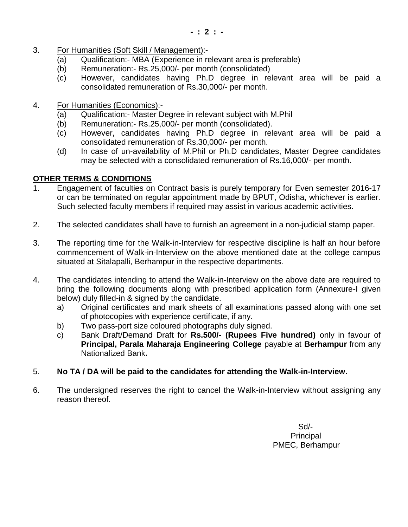- 3. For Humanities (Soft Skill / Management):-
	- (a) Qualification:- MBA (Experience in relevant area is preferable)
	- (b) Remuneration:- Rs.25,000/- per month (consolidated)
	- (c) However, candidates having Ph.D degree in relevant area will be paid a consolidated remuneration of Rs.30,000/- per month.
- 4. For Humanities (Economics):-
	- (a) Qualification:- Master Degree in relevant subject with M.Phil
	- (b) Remuneration:- Rs.25,000/- per month (consolidated).
	- (c) However, candidates having Ph.D degree in relevant area will be paid a consolidated remuneration of Rs.30,000/- per month.
	- (d) In case of un-availability of M.Phil or Ph.D candidates, Master Degree candidates may be selected with a consolidated remuneration of Rs.16,000/- per month.

# **OTHER TERMS & CONDITIONS**

- 1. Engagement of faculties on Contract basis is purely temporary for Even semester 2016-17 or can be terminated on regular appointment made by BPUT, Odisha, whichever is earlier. Such selected faculty members if required may assist in various academic activities.
- 2. The selected candidates shall have to furnish an agreement in a non-judicial stamp paper.
- 3. The reporting time for the Walk-in-Interview for respective discipline is half an hour before commencement of Walk-in-Interview on the above mentioned date at the college campus situated at Sitalapalli, Berhampur in the respective departments.
- 4. The candidates intending to attend the Walk-in-Interview on the above date are required to bring the following documents along with prescribed application form (Annexure-I given below) duly filled-in & signed by the candidate.
	- a) Original certificates and mark sheets of all examinations passed along with one set of photocopies with experience certificate, if any.
	- b) Two pass-port size coloured photographs duly signed.
	- c) Bank Draft/Demand Draft for **Rs.500/- (Rupees Five hundred)** only in favour of **Principal, Parala Maharaja Engineering College** payable at **Berhampur** from any Nationalized Bank**.**
- 5. **No TA / DA will be paid to the candidates for attending the Walk-in-Interview.**
- 6. The undersigned reserves the right to cancel the Walk-in-Interview without assigning any reason thereof.

 Sd/- **Principal** PMEC, Berhampur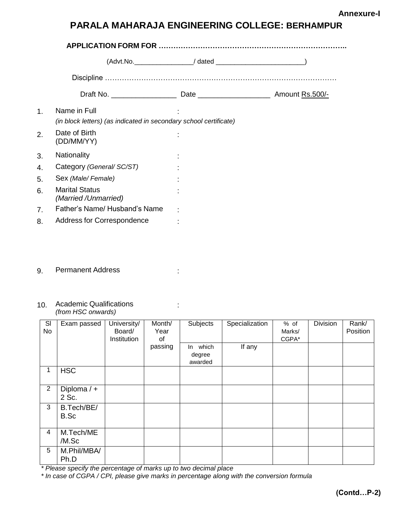# **PARALA MAHARAJA ENGINEERING COLLEGE: BERHAMPUR**

| (DD/MM/YY)           |                                                                                                                                                                                       |                                                                   |
|----------------------|---------------------------------------------------------------------------------------------------------------------------------------------------------------------------------------|-------------------------------------------------------------------|
|                      |                                                                                                                                                                                       |                                                                   |
|                      |                                                                                                                                                                                       |                                                                   |
|                      |                                                                                                                                                                                       |                                                                   |
| (Married /Unmarried) |                                                                                                                                                                                       |                                                                   |
|                      |                                                                                                                                                                                       |                                                                   |
|                      |                                                                                                                                                                                       |                                                                   |
|                      | Name in Full<br>Date of Birth<br>Nationality<br>Category (General/SC/ST)<br>Sex (Male/Female)<br><b>Marital Status</b><br>Father's Name/ Husband's Name<br>Address for Correspondence | (in block letters) (as indicated in secondary school certificate) |

9. Permanent Address in the contract of the set of the set of the set of the set of the set of the set of the s

#### 10. Academic Qualifications *(from HSC onwards)*

| SI<br>No       | Exam passed            | University/<br>Board/<br>Institution | Month/<br>Year<br>0f | Subjects                      | Specialization | % of<br>Marks/<br>CGPA* | <b>Division</b> | Rank/<br>Position |
|----------------|------------------------|--------------------------------------|----------------------|-------------------------------|----------------|-------------------------|-----------------|-------------------|
|                |                        |                                      | passing              | In which<br>degree<br>awarded | If any         |                         |                 |                   |
| 1              | <b>HSC</b>             |                                      |                      |                               |                |                         |                 |                   |
| $\overline{2}$ | Diploma $/ +$<br>2 Sc. |                                      |                      |                               |                |                         |                 |                   |
| 3              | B.Tech/BE/<br>B.Sc     |                                      |                      |                               |                |                         |                 |                   |
| 4              | M.Tech/ME<br>/M.Sc     |                                      |                      |                               |                |                         |                 |                   |
| 5              | M.Phil/MBA/<br>Ph.D    |                                      |                      |                               |                |                         |                 |                   |

*\* Please specify the percentage of marks up to two decimal place*

*\* In case of CGPA / CPI, please give marks in percentage along with the conversion formula*

: